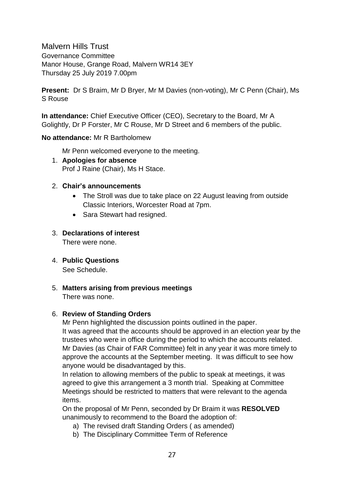Malvern Hills Trust Governance Committee Manor House, Grange Road, Malvern WR14 3EY Thursday 25 July 2019 7.00pm

**Present:** Dr S Braim, Mr D Bryer, Mr M Davies (non-voting), Mr C Penn (Chair), Ms S Rouse

**In attendance:** Chief Executive Officer (CEO), Secretary to the Board, Mr A Golightly, Dr P Forster, Mr C Rouse, Mr D Street and 6 members of the public.

**No attendance:** Mr R Bartholomew

Mr Penn welcomed everyone to the meeting.

1. **Apologies for absence** Prof J Raine (Chair), Ms H Stace.

## 2. **Chair's announcements**

- The Stroll was due to take place on 22 August leaving from outside Classic Interiors, Worcester Road at 7pm.
- Sara Stewart had resigned.

# 3. **Declarations of interest**

There were none.

4. **Public Questions**

See Schedule.

5. **Matters arising from previous meetings**  There was none.

# 6. **Review of Standing Orders**

Mr Penn highlighted the discussion points outlined in the paper. It was agreed that the accounts should be approved in an election year by the trustees who were in office during the period to which the accounts related. Mr Davies (as Chair of FAR Committee) felt in any year it was more timely to approve the accounts at the September meeting. It was difficult to see how anyone would be disadvantaged by this.

In relation to allowing members of the public to speak at meetings, it was agreed to give this arrangement a 3 month trial. Speaking at Committee Meetings should be restricted to matters that were relevant to the agenda items.

On the proposal of Mr Penn, seconded by Dr Braim it was **RESOLVED** unanimously to recommend to the Board the adoption of:

- a) The revised draft Standing Orders ( as amended)
- b) The Disciplinary Committee Term of Reference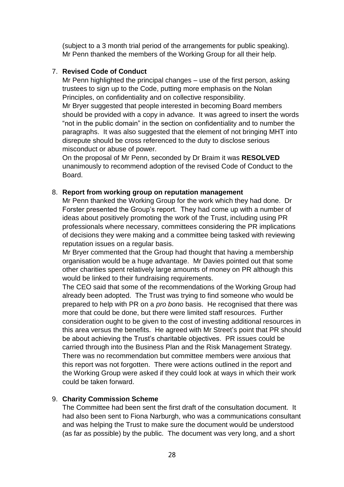(subject to a 3 month trial period of the arrangements for public speaking). Mr Penn thanked the members of the Working Group for all their help.

## 7. **Revised Code of Conduct**

Mr Penn highlighted the principal changes – use of the first person, asking trustees to sign up to the Code, putting more emphasis on the Nolan Principles, on confidentiality and on collective responsibility.

Mr Bryer suggested that people interested in becoming Board members should be provided with a copy in advance. It was agreed to insert the words "not in the public domain" in the section on confidentiality and to number the paragraphs. It was also suggested that the element of not bringing MHT into disrepute should be cross referenced to the duty to disclose serious misconduct or abuse of power.

On the proposal of Mr Penn, seconded by Dr Braim it was **RESOLVED** unanimously to recommend adoption of the revised Code of Conduct to the Board.

## 8. **Report from working group on reputation management**

Mr Penn thanked the Working Group for the work which they had done. Dr Forster presented the Group's report. They had come up with a number of ideas about positively promoting the work of the Trust, including using PR professionals where necessary, committees considering the PR implications of decisions they were making and a committee being tasked with reviewing reputation issues on a regular basis.

Mr Bryer commented that the Group had thought that having a membership organisation would be a huge advantage. Mr Davies pointed out that some other charities spent relatively large amounts of money on PR although this would be linked to their fundraising requirements.

The CEO said that some of the recommendations of the Working Group had already been adopted. The Trust was trying to find someone who would be prepared to help with PR on a *pro bono* basis. He recognised that there was more that could be done, but there were limited staff resources. Further consideration ought to be given to the cost of investing additional resources in this area versus the benefits. He agreed with Mr Street's point that PR should be about achieving the Trust's charitable objectives. PR issues could be carried through into the Business Plan and the Risk Management Strategy. There was no recommendation but committee members were anxious that this report was not forgotten. There were actions outlined in the report and the Working Group were asked if they could look at ways in which their work could be taken forward.

# 9. **Charity Commission Scheme**

The Committee had been sent the first draft of the consultation document. It had also been sent to Fiona Narburgh, who was a communications consultant and was helping the Trust to make sure the document would be understood (as far as possible) by the public. The document was very long, and a short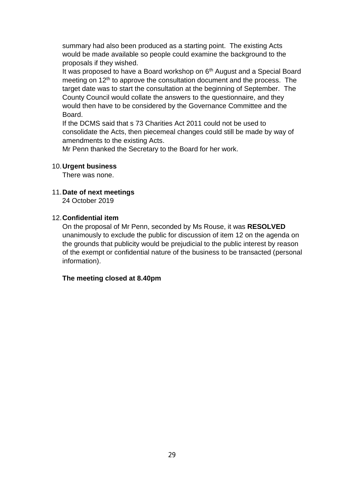summary had also been produced as a starting point. The existing Acts would be made available so people could examine the background to the proposals if they wished.

It was proposed to have a Board workshop on  $6<sup>th</sup>$  August and a Special Board meeting on  $12<sup>th</sup>$  to approve the consultation document and the process. The target date was to start the consultation at the beginning of September. The County Council would collate the answers to the questionnaire, and they would then have to be considered by the Governance Committee and the Board.

If the DCMS said that s 73 Charities Act 2011 could not be used to consolidate the Acts, then piecemeal changes could still be made by way of amendments to the existing Acts.

Mr Penn thanked the Secretary to the Board for her work.

#### 10.**Urgent business**

There was none.

11.**Date of next meetings** 24 October 2019

#### 12.**Confidential item**

On the proposal of Mr Penn, seconded by Ms Rouse, it was **RESOLVED** unanimously to exclude the public for discussion of item 12 on the agenda on the grounds that publicity would be prejudicial to the public interest by reason of the exempt or confidential nature of the business to be transacted (personal information).

#### **The meeting closed at 8.40pm**